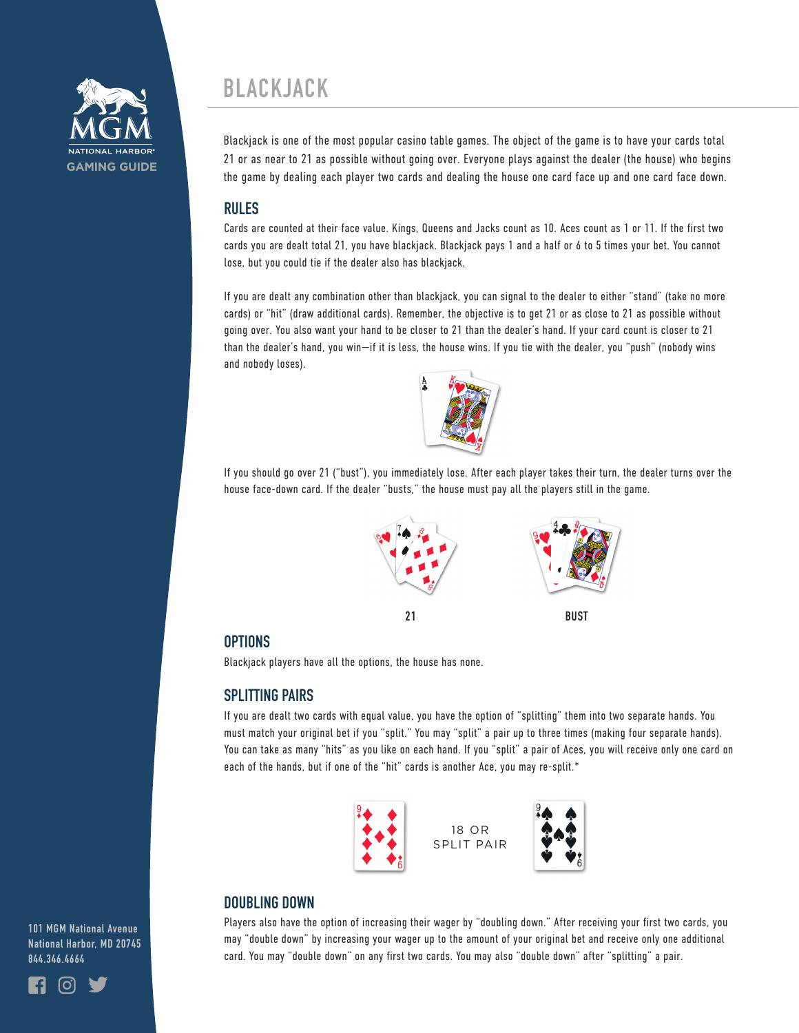

# **BLACKJACK**

Blackjack is one of the most popular casino table games. The object of the game is to have your cards total 21 or as near to 21 as possible without going over. Everyone plays against the dealer (the house) who begins the game by dealing each player two cards and dealing the house one card face up and one card face down.

# **RULES**

Cards are counted at their face value. Kings, Queens and Jacks count as 10. Aces count as 1 or 11. If the first two cards you are dealt total 21, you have blackjack. Blackjack pays 1 and a half or 6 to 5 times your bet. You cannot lose, but you could tie if the dealer also has blackjack.

If you are dealt any combination other than blackjack, you can signal to the dealer to either "stand" (take no more cards) or "hit" (draw additional cards). Remember, the objective is to get 21 or as close to 21 as possible without going over. You also want your hand to be closer to 21 than the dealer's hand. If your card count is closer to 21 than the dealer's hand, you win—if it is less, the house wins. If you tie with the dealer, you "push" (nobody wins and nobody loses).



If you should go over 21 ("bust"), you immediately lose. After each player takes their turn, the dealer turns over the house face-down card. If the dealer "busts," the house must pay all the players still in the game.



#### **OPTIONS**

Blackjack players have all the options, the house has none.

#### **SPLITTING PAIRS**

If you are dealt two cards with equal value, you have the option of "splitting" them into two separate hands. You must match your original bet if you "split." You may "split" a pair up to three times (making four separate hands). You can take as many "hits" as you like on each hand. If you "split" a pair of Aces, you will receive only one card on each of the hands, but if one of the "hit" cards is another Ace, you may re-split.\*





Players also have the option of increasing their wager by "doubling down." After receiving your first two cards, you may "double down" by increasing your wager up to the amount of your original bet and receive only one additional card. You may "double down" on any first two cards. You may also "double down" after "splitting" a pair.

**101 MGM National Avenue National Harbor, MD 20745 844.346.4664**